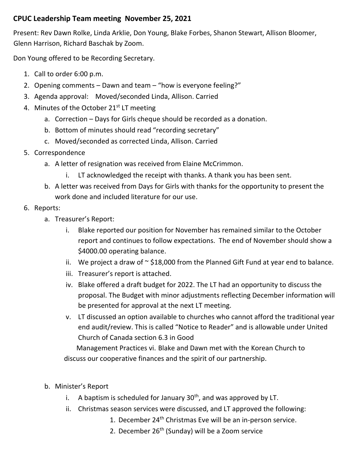## **CPUC Leadership Team meeting November 25, 2021**

Present: Rev Dawn Rolke, Linda Arklie, Don Young, Blake Forbes, Shanon Stewart, Allison Bloomer, Glenn Harrison, Richard Baschak by Zoom.

Don Young offered to be Recording Secretary.

- 1. Call to order 6:00 p.m.
- 2. Opening comments Dawn and team "how is everyone feeling?"
- 3. Agenda approval: Moved/seconded Linda, Allison. Carried
- 4. Minutes of the October 21<sup>st</sup> LT meeting
	- a. Correction Days for Girls cheque should be recorded as a donation.
	- b. Bottom of minutes should read "recording secretary"
	- c. Moved/seconded as corrected Linda, Allison. Carried
- 5. Correspondence
	- a. A letter of resignation was received from Elaine McCrimmon.
		- i. LT acknowledged the receipt with thanks. A thank you has been sent.
	- b. A letter was received from Days for Girls with thanks for the opportunity to present the work done and included literature for our use.

## 6. Reports:

- a. Treasurer's Report:
	- i. Blake reported our position for November has remained similar to the October report and continues to follow expectations. The end of November should show a \$4000.00 operating balance.
	- ii. We project a draw of  $\sim$  \$18,000 from the Planned Gift Fund at year end to balance.
	- iii. Treasurer's report is attached.
	- iv. Blake offered a draft budget for 2022. The LT had an opportunity to discuss the proposal. The Budget with minor adjustments reflecting December information will be presented for approval at the next LT meeting.
	- v. LT discussed an option available to churches who cannot afford the traditional year end audit/review. This is called "Notice to Reader" and is allowable under United Church of Canada section 6.3 in Good

Management Practices vi. Blake and Dawn met with the Korean Church to discuss our cooperative finances and the spirit of our partnership.

- b. Minister's Report
	- i. A baptism is scheduled for January  $30<sup>th</sup>$ , and was approved by LT.
	- ii. Christmas season services were discussed, and LT approved the following:
		- 1. December 24<sup>th</sup> Christmas Eve will be an in-person service.
		- 2. December  $26<sup>th</sup>$  (Sunday) will be a Zoom service